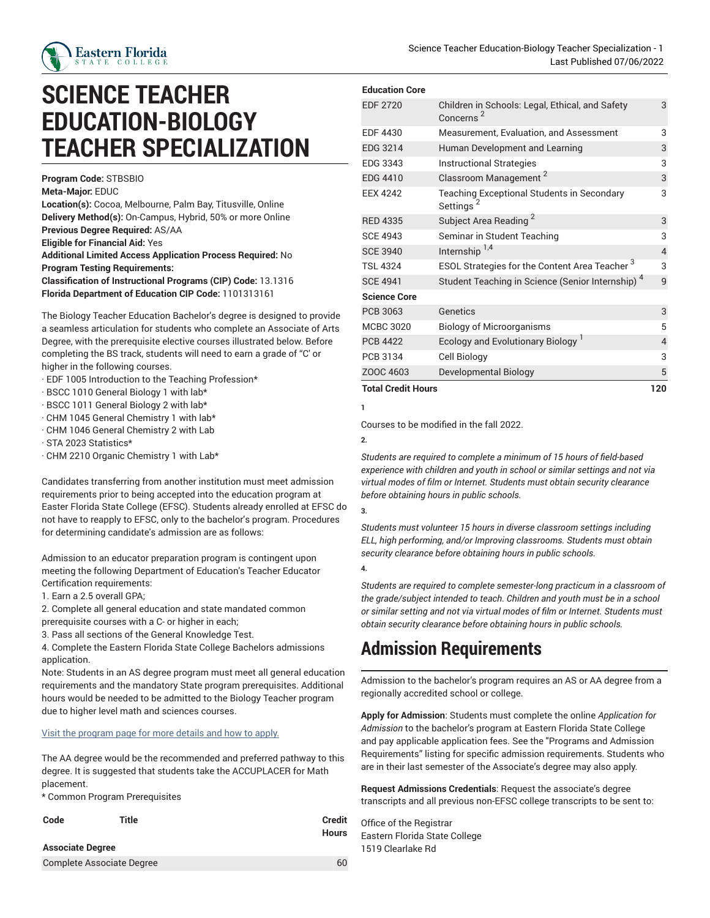

# **SCIENCE TEACHER EDUCATION-BIOLOGY TEACHER SPECIALIZATION**

**Program Code:** STBSBIO

**Meta-Major:** EDUC

**Location(s):** Cocoa, Melbourne, Palm Bay, Titusville, Online **Delivery Method(s):** On-Campus, Hybrid, 50% or more Online **Previous Degree Required:** AS/AA

**Eligible for Financial Aid:** Yes

**Additional Limited Access Application Process Required:** No **Program Testing Requirements:**

**Classification of Instructional Programs (CIP) Code:** 13.1316 **Florida Department of Education CIP Code:** 1101313161

The Biology Teacher Education Bachelor's degree is designed to provide a seamless articulation for students who complete an Associate of Arts Degree, with the prerequisite elective courses illustrated below. Before completing the BS track, students will need to earn a grade of "C' or higher in the following courses.

- · EDF 1005 Introduction to the Teaching Profession\*
- · BSCC 1010 General Biology 1 with lab\*
- · BSCC 1011 General Biology 2 with lab\*
- · CHM 1045 General Chemistry 1 with lab\*
- · CHM 1046 General Chemistry 2 with Lab
- · STA 2023 Statistics\*
- · CHM 2210 Organic Chemistry 1 with Lab\*

Candidates transferring from another institution must meet admission requirements prior to being accepted into the education program at Easter Florida State College (EFSC). Students already enrolled at EFSC do not have to reapply to EFSC, only to the bachelor's program. Procedures for determining candidate's admission are as follows:

Admission to an educator preparation program is contingent upon meeting the following Department of Education's Teacher Educator Certification requirements:

1. Earn a 2.5 overall GPA;

2. Complete all general education and state mandated common prerequisite courses with a C- or higher in each;

3. Pass all sections of the General Knowledge Test.

4. Complete the Eastern Florida State College Bachelors admissions application.

Note: Students in an AS degree program must meet all general education requirements and the mandatory State program prerequisites. Additional hours would be needed to be admitted to the Biology Teacher program due to higher level math and sciences courses.

### Visit the [program](https://www.easternflorida.edu/academics/bachelors-degrees/science-teacher-education/) page for more details and how to apply.

The AA degree would be the recommended and preferred pathway to this degree. It is suggested that students take the ACCUPLACER for Math placement.

\* Common Program Prerequisites

| Code                    | Title                     | <b>Credit</b><br><b>Hours</b> |
|-------------------------|---------------------------|-------------------------------|
| <b>Associate Degree</b> |                           |                               |
|                         | Complete Associate Degree | 60                            |

| Science Teacher Education-Biology Teacher Specialization - 1 |
|--------------------------------------------------------------|
| Last Published 07/06/2022                                    |

| <b>Education Core</b>     |                                                                          |                |
|---------------------------|--------------------------------------------------------------------------|----------------|
| <b>EDF 2720</b>           | Children in Schools: Legal, Ethical, and Safety<br>Concerns <sup>2</sup> | 3              |
| <b>EDF 4430</b>           | Measurement, Evaluation, and Assessment                                  | 3              |
| EDG 3214                  | Human Development and Learning                                           | 3              |
| EDG 3343                  | <b>Instructional Strategies</b>                                          | 3              |
| <b>EDG 4410</b>           | Classroom Management <sup>2</sup>                                        | 3              |
| <b>EEX 4242</b>           | Teaching Exceptional Students in Secondary<br>Settings <sup>2</sup>      | 3              |
| <b>RED 4335</b>           | Subject Area Reading <sup>2</sup>                                        | 3              |
| <b>SCE 4943</b>           | Seminar in Student Teaching                                              | 3              |
| <b>SCE 3940</b>           | Internship <sup>1,4</sup>                                                | $\overline{4}$ |
| <b>TSL 4324</b>           | ESOL Strategies for the Content Area Teacher <sup>3</sup>                | 3              |
| <b>SCE 4941</b>           | Student Teaching in Science (Senior Internship) <sup>4</sup>             | 9              |
| <b>Science Core</b>       |                                                                          |                |
| PCB 3063                  | Genetics                                                                 | 3              |
| <b>MCBC 3020</b>          | <b>Biology of Microorganisms</b>                                         | 5              |
| <b>PCB 4422</b>           | Ecology and Evolutionary Biology <sup>1</sup>                            | 4              |
| PCB 3134                  | Cell Biology                                                             | 3              |
| ZOOC 4603                 | Developmental Biology                                                    | 5              |
| <b>Total Credit Hours</b> |                                                                          |                |

#### **1**

Courses to be modified in the fall 2022.

**2.**

*Students are required to complete a minimum of 15 hours of field-based experience with children and youth in school or similar settings and not via virtual modes of film or Internet. Students must obtain security clearance before obtaining hours in public schools.*

### **3.**

*Students must volunteer 15 hours in diverse classroom settings including ELL, high performing, and/or Improving classrooms. Students must obtain security clearance before obtaining hours in public schools.*

**4.**

*Students are required to complete semester-long practicum in a classroom of the grade/subject intended to teach. Children and youth must be in a school or similar setting and not via virtual modes of film or Internet. Students must obtain security clearance before obtaining hours in public schools.*

# **Admission Requirements**

Admission to the bachelor's program requires an AS or AA degree from a regionally accredited school or college.

**Apply for Admission**: Students must complete the online *Application for Admission* to the bachelor's program at Eastern Florida State College and pay applicable application fees. See the "Programs and Admission Requirements" listing for specific admission requirements. Students who are in their last semester of the Associate's degree may also apply.

**Request Admissions Credentials**: Request the associate's degree transcripts and all previous non-EFSC college transcripts to be sent to:

Office of the Registrar Eastern Florida State College 1519 Clearlake Rd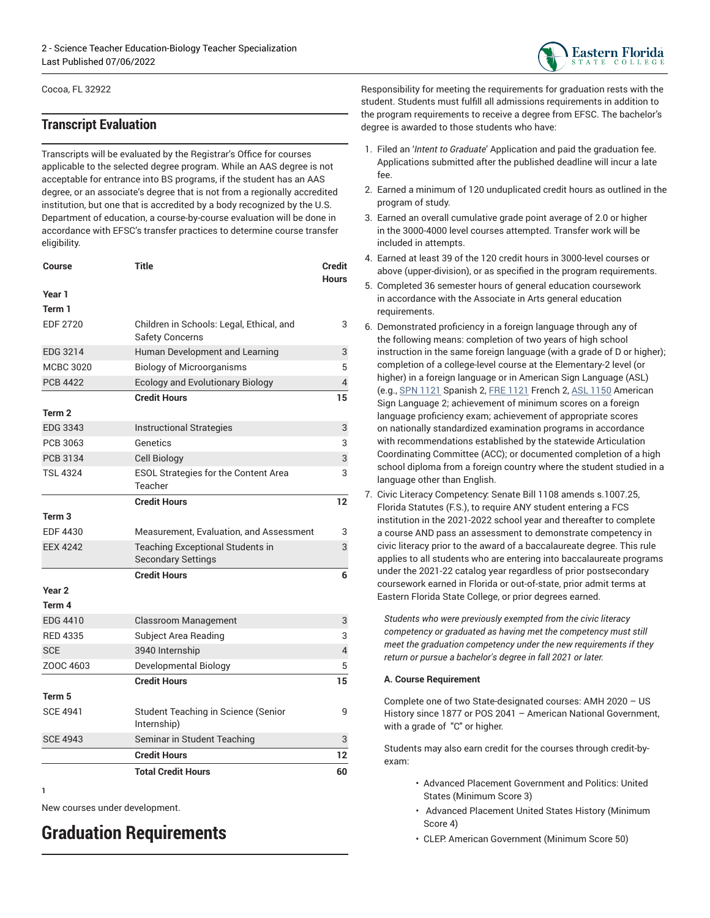

Cocoa, FL 32922

### **Transcript Evaluation**

Transcripts will be evaluated by the Registrar's Office for courses applicable to the selected degree program. While an AAS degree is not acceptable for entrance into BS programs, if the student has an AAS degree, or an associate's degree that is not from a regionally accredited institution, but one that is accredited by a body recognized by the U.S. Department of education, a course-by-course evaluation will be done in accordance with EFSC's transfer practices to determine course transfer eligibility.

| Course            | <b>Title</b>                                                       | <b>Credit</b><br><b>Hours</b> |
|-------------------|--------------------------------------------------------------------|-------------------------------|
| Year 1            |                                                                    |                               |
| Term 1            |                                                                    |                               |
| <b>EDF 2720</b>   | Children in Schools: Legal, Ethical, and<br><b>Safety Concerns</b> | 3                             |
| EDG 3214          | Human Development and Learning                                     | 3                             |
| <b>MCBC 3020</b>  | <b>Biology of Microorganisms</b>                                   | 5                             |
| <b>PCB 4422</b>   | <b>Ecology and Evolutionary Biology</b>                            | $\overline{4}$                |
|                   | <b>Credit Hours</b>                                                | 15                            |
| Term 2            |                                                                    |                               |
| <b>EDG 3343</b>   | <b>Instructional Strategies</b>                                    | 3                             |
| PCB 3063          | Genetics                                                           | 3                             |
| <b>PCB 3134</b>   | <b>Cell Biology</b>                                                | 3                             |
| <b>TSL 4324</b>   | <b>ESOL Strategies for the Content Area</b>                        | 3                             |
|                   | Teacher                                                            |                               |
|                   | <b>Credit Hours</b>                                                | 12                            |
| Term 3            |                                                                    |                               |
| <b>EDF 4430</b>   | Measurement, Evaluation, and Assessment                            | 3                             |
| <b>EEX 4242</b>   | <b>Teaching Exceptional Students in</b>                            | 3                             |
|                   | <b>Secondary Settings</b>                                          |                               |
|                   | <b>Credit Hours</b>                                                | 6                             |
| Year <sub>2</sub> |                                                                    |                               |
| Term 4            |                                                                    |                               |
| <b>EDG 4410</b>   | <b>Classroom Management</b>                                        | 3                             |
| <b>RED 4335</b>   | Subject Area Reading                                               | 3                             |
| <b>SCE</b>        | 3940 Internship                                                    | $\overline{4}$                |
| ZOOC 4603         | Developmental Biology                                              | 5                             |
|                   | <b>Credit Hours</b>                                                | 15                            |
| Term 5            |                                                                    |                               |
| <b>SCE 4941</b>   | Student Teaching in Science (Senior<br>Internship)                 | 9                             |
| <b>SCE 4943</b>   | Seminar in Student Teaching                                        | 3                             |
|                   | <b>Credit Hours</b>                                                | 12                            |
|                   | <b>Total Credit Hours</b>                                          | 60                            |

**1**

New courses under development.

# **Graduation Requirements**

Responsibility for meeting the requirements for graduation rests with the student. Students must fulfill all admissions requirements in addition to the program requirements to receive a degree from EFSC. The bachelor's degree is awarded to those students who have:

- 1. Filed an '*Intent to Graduate*' Application and paid the graduation fee. Applications submitted after the published deadline will incur a late fee.
- 2. Earned a minimum of 120 unduplicated credit hours as outlined in the program of study.
- 3. Earned an overall cumulative grade point average of 2.0 or higher in the 3000-4000 level courses attempted. Transfer work will be included in attempts.
- 4. Earned at least 39 of the 120 credit hours in 3000-level courses or above (upper-division), or as specified in the program requirements.
- 5. Completed 36 semester hours of general education coursework in accordance with the Associate in Arts general education requirements.
- 6. Demonstrated proficiency in a foreign language through any of the following means: completion of two years of high school instruction in the same foreign language (with a grade of D or higher); completion of a college-level course at the Elementary-2 level (or higher) in a foreign language or in American Sign Language (ASL) (e.g., [SPN 1121](/search/?P=SPN%201121) Spanish 2, [FRE 1121](/search/?P=FRE%201121) French 2, [ASL 1150](/search/?P=ASL%201150) American Sign Language 2; achievement of minimum scores on a foreign language proficiency exam; achievement of appropriate scores on nationally standardized examination programs in accordance with recommendations established by the statewide Articulation Coordinating Committee (ACC); or documented completion of a high school diploma from a foreign country where the student studied in a language other than English.
- 7. Civic Literacy Competency: Senate Bill 1108 amends s.1007.25, Florida Statutes (F.S.), to require ANY student entering a FCS institution in the 2021-2022 school year and thereafter to complete a course AND pass an assessment to demonstrate competency in civic literacy prior to the award of a baccalaureate degree. This rule applies to all students who are entering into baccalaureate programs under the 2021-22 catalog year regardless of prior postsecondary coursework earned in Florida or out-of-state, prior admit terms at Eastern Florida State College, or prior degrees earned.

*Students who were previously exempted from the civic literacy competency or graduated as having met the competency must still meet the graduation competency under the new requirements if they return or pursue a bachelor's degree in fall 2021 or later.*

### **A. Course Requirement**

Complete one of two State-designated courses: AMH 2020 – US History since 1877 or POS 2041 – American National Government, with a grade of "C" or higher.

Students may also earn credit for the courses through credit-byexam:

- Advanced Placement Government and Politics: United States (Minimum Score 3)
- Advanced Placement United States History (Minimum Score 4)
- CLEP: American Government (Minimum Score 50)